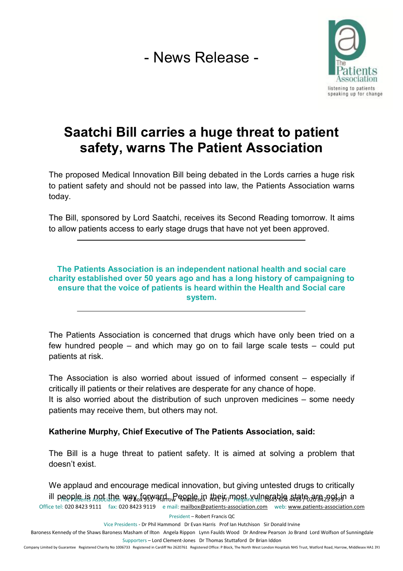- News Release -



## **Saatchi Bill carries a huge threat to patient safety, warns The Patient Association**

The proposed Medical Innovation Bill being debated in the Lords carries a huge risk to patient safety and should not be passed into law, the Patients Association warns today.

The Bill, sponsored by Lord Saatchi, receives its Second Reading tomorrow. It aims to allow patients access to early stage drugs that have not yet been approved.

## **The Patients Association is an independent national health and social care charity established over 50 years ago and has a long history of campaigning to ensure that the voice of patients is heard within the Health and Social care system.**

The Patients Association is concerned that drugs which have only been tried on a few hundred people – and which may go on to fail large scale tests – could put patients at risk.

The Association is also worried about issued of informed consent – especially if critically ill patients or their relatives are desperate for any chance of hope.

It is also worried about the distribution of such unproven medicines – some needy patients may receive them, but others may not.

## **Katherine Murphy, Chief Executive of The Patients Association, said:**

The Bill is a huge threat to patient safety. It is aimed at solving a problem that doesn't exist.

ill people is not the way forward. People in their most vulnerable atste are 2995 in a Office tel: 020 8423 9111 fax: 020 8423 9119 e mail: [mailbox@patients-association.com](mailto:mailbox@patients-association.com) web: [www.patients-association.com](http://www.patients-association.com) We applaud and encourage medical innovation, but giving untested drugs to critically

President – Robert Francis QC

Vice Presidents - Dr Phil Hammond Dr Evan Harris Prof Ian Hutchison Sir Donald Irvine

Baroness Kennedy of the Shaws Baroness Masham of Ilton Angela Rippon Lynn Faulds Wood Dr Andrew Pearson Jo Brand Lord Wolfson of Sunningdale Supporters – Lord Clement-Jones Dr Thomas Stuttaford Dr Brian Iddon

Company Limited by Guarantee Registered Charity No 1006733 Registered in Cardiff No 2620761 Registered Office: P Block, The North West London Hospitals NHS Trust, Watford Road, Harrow, Middlesex HA1 3YJ